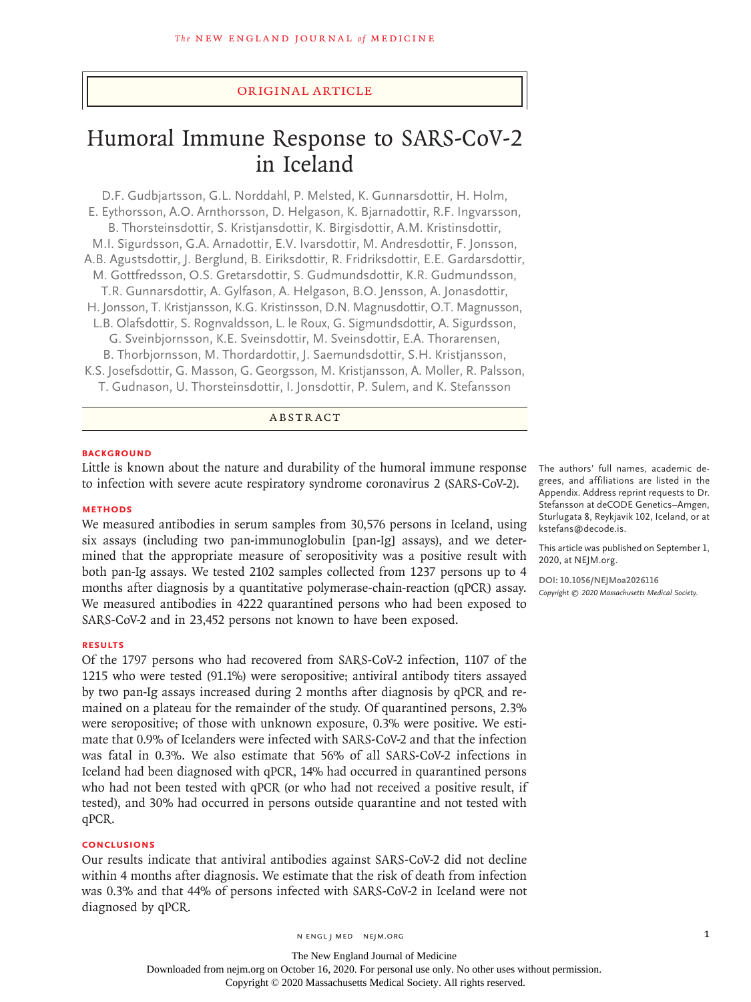Downloaded from nejm.org on October 16, 2020. For personal use only. No other uses without permission.

Copyright © 2020 Massachusetts Medical Society. All rights reserved.

# Original Article

# Humoral Immune Response to SARS-CoV-2 in Iceland

D.F. Gudbjartsson, G.L. Norddahl, P. Melsted, K. Gunnarsdottir, H. Holm, E. Eythorsson, A.O. Arnthorsson, D. Helgason, K. Bjarnadottir, R.F. Ingvarsson, B. Thorsteinsdottir, S. Kristjansdottir, K. Birgisdottir, A.M. Kristinsdottir, M.I. Sigurdsson, G.A. Arnadottir, E.V. Ivarsdottir, M. Andresdottir, F. Jonsson, A.B. Agustsdottir, J. Berglund, B. Eiriksdottir, R. Fridriksdottir, E.E. Gardarsdottir, M. Gottfredsson, O.S. Gretarsdottir, S. Gudmundsdottir, K.R. Gudmundsson, T.R. Gunnarsdottir, A. Gylfason, A. Helgason, B.O. Jensson, A. Jonasdottir, H. Jonsson, T. Kristjansson, K.G. Kristinsson, D.N. Magnusdottir, O.T. Magnusson, L.B. Olafsdottir, S. Rognvaldsson, L. le Roux, G. Sigmundsdottir, A. Sigurdsson, G. Sveinbjornsson, K.E. Sveinsdottir, M. Sveinsdottir, E.A. Thorarensen, B. Thorbjornsson, M. Thordardottir, J. Saemundsdottir, S.H. Kristjansson, K.S. Josefsdottir, G. Masson, G. Georgsson, M. Kristjansson, A. Moller, R. Palsson, T. Gudnason, U. Thorsteinsdottir, I. Jonsdottir, P. Sulem, and K. Stefansson

ABSTRACT

#### **BACKGROUND**

Little is known about the nature and durability of the humoral immune response to infection with severe acute respiratory syndrome coronavirus 2 (SARS-CoV-2).

#### **METHODS**

We measured antibodies in serum samples from 30,576 persons in Iceland, using six assays (including two pan-immunoglobulin [pan-Ig] assays), and we determined that the appropriate measure of seropositivity was a positive result with both pan-Ig assays. We tested 2102 samples collected from 1237 persons up to 4 months after diagnosis by a quantitative polymerase-chain-reaction (qPCR) assay. We measured antibodies in 4222 quarantined persons who had been exposed to SARS-CoV-2 and in 23,452 persons not known to have been exposed.

### **RESULTS**

Of the 1797 persons who had recovered from SARS-CoV-2 infection, 1107 of the 1215 who were tested (91.1%) were seropositive; antiviral antibody titers assayed by two pan-Ig assays increased during 2 months after diagnosis by qPCR and remained on a plateau for the remainder of the study. Of quarantined persons, 2.3% were seropositive; of those with unknown exposure, 0.3% were positive. We estimate that 0.9% of Icelanders were infected with SARS-CoV-2 and that the infection was fatal in 0.3%. We also estimate that 56% of all SARS-CoV-2 infections in Iceland had been diagnosed with qPCR, 14% had occurred in quarantined persons who had not been tested with qPCR (or who had not received a positive result, if tested), and 30% had occurred in persons outside quarantine and not tested with qPCR.

#### **CONCLUSIONS**

Our results indicate that antiviral antibodies against SARS-CoV-2 did not decline within 4 months after diagnosis. We estimate that the risk of death from infection was 0.3% and that 44% of persons infected with SARS-CoV-2 in Iceland were not diagnosed by qPCR.

The authors' full names, academic degrees, and affiliations are listed in the Appendix. Address reprint requests to Dr. Stefansson at deCODE Genetics–Amgen, Sturlugata 8, Reykjavik 102, Iceland, or at kstefans@decode.is.

This article was published on September 1, 2020, at NEJM.org.

**DOI: 10.1056/NEJMoa2026116** *Copyright © 2020 Massachusetts Medical Society.*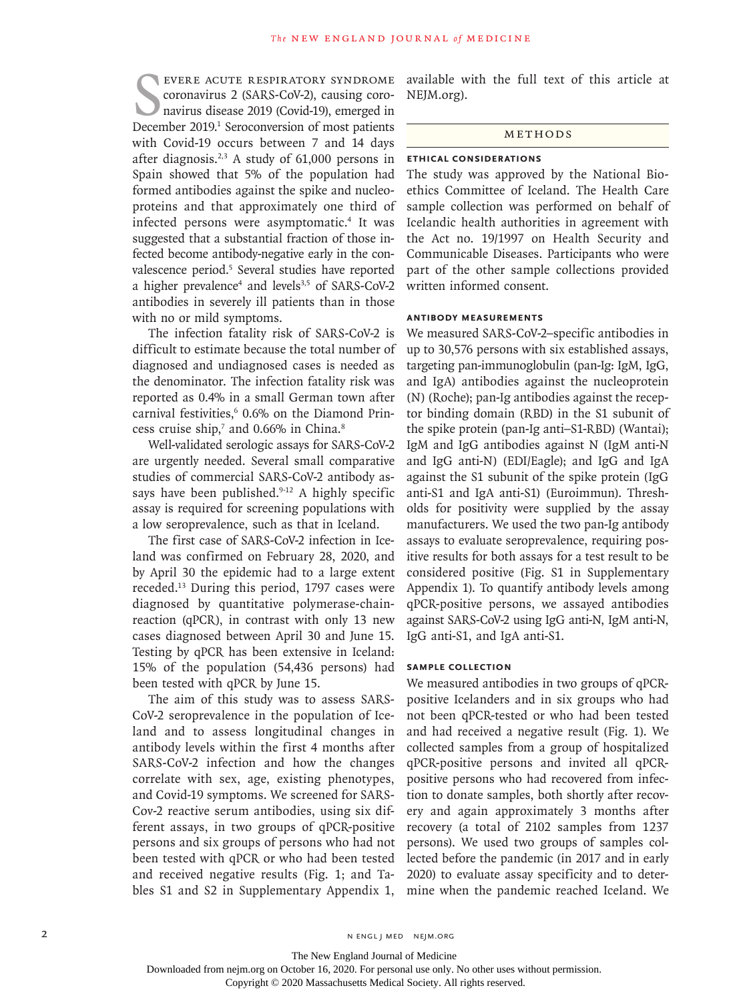EVERE ACUTE RESPIRATORY SYNDROME<br>
coronavirus 2 (SARS-CoV-2), causing coro-<br>
navirus disease 2019 (Covid-19), emerged in<br>
December 2019.<sup>1</sup> Seroconversion of most patients evere acute respiratory syndrome coronavirus 2 (SARS-CoV-2), causing coronavirus disease 2019 (Covid-19), emerged in with Covid-19 occurs between 7 and 14 days after diagnosis.<sup>2,3</sup> A study of  $61,000$  persons in Spain showed that 5% of the population had formed antibodies against the spike and nucleoproteins and that approximately one third of infected persons were asymptomatic.4 It was suggested that a substantial fraction of those infected become antibody-negative early in the convalescence period.<sup>5</sup> Several studies have reported a higher prevalence<sup>4</sup> and levels<sup>3,5</sup> of SARS-CoV-2 antibodies in severely ill patients than in those with no or mild symptoms.

The infection fatality risk of SARS-CoV-2 is difficult to estimate because the total number of diagnosed and undiagnosed cases is needed as the denominator. The infection fatality risk was reported as 0.4% in a small German town after carnival festivities,<sup>6</sup> 0.6% on the Diamond Princess cruise ship, $7$  and 0.66% in China.<sup>8</sup>

Well-validated serologic assays for SARS-CoV-2 are urgently needed. Several small comparative studies of commercial SARS-CoV-2 antibody assays have been published. $9-12$  A highly specific assay is required for screening populations with a low seroprevalence, such as that in Iceland.

The first case of SARS-CoV-2 infection in Iceland was confirmed on February 28, 2020, and by April 30 the epidemic had to a large extent receded.13 During this period, 1797 cases were diagnosed by quantitative polymerase-chainreaction (qPCR), in contrast with only 13 new cases diagnosed between April 30 and June 15. Testing by qPCR has been extensive in Iceland: 15% of the population (54,436 persons) had been tested with qPCR by June 15.

The aim of this study was to assess SARS-CoV-2 seroprevalence in the population of Iceland and to assess longitudinal changes in antibody levels within the first 4 months after SARS-CoV-2 infection and how the changes correlate with sex, age, existing phenotypes, and Covid-19 symptoms. We screened for SARS-Cov-2 reactive serum antibodies, using six different assays, in two groups of qPCR-positive persons and six groups of persons who had not been tested with qPCR or who had been tested and received negative results (Fig. 1; and Tables S1 and S2 in Supplementary Appendix 1, available with the full text of this article at NEJM.org).

#### METHODS

#### **Ethical Considerations**

The study was approved by the National Bioethics Committee of Iceland. The Health Care sample collection was performed on behalf of Icelandic health authorities in agreement with the Act no. 19/1997 on Health Security and Communicable Diseases. Participants who were part of the other sample collections provided written informed consent.

#### **Antibody Measurements**

We measured SARS-CoV-2–specific antibodies in up to 30,576 persons with six established assays, targeting pan-immunoglobulin (pan-Ig: IgM, IgG, and IgA) antibodies against the nucleoprotein (N) (Roche); pan-Ig antibodies against the receptor binding domain (RBD) in the S1 subunit of the spike protein (pan-Ig anti–S1-RBD) (Wantai); IgM and IgG antibodies against N (IgM anti-N and IgG anti-N) (EDI/Eagle); and IgG and IgA against the S1 subunit of the spike protein (IgG anti-S1 and IgA anti-S1) (Euroimmun). Thresholds for positivity were supplied by the assay manufacturers. We used the two pan-Ig antibody assays to evaluate seroprevalence, requiring positive results for both assays for a test result to be considered positive (Fig. S1 in Supplementary Appendix 1). To quantify antibody levels among qPCR-positive persons, we assayed antibodies against SARS-CoV-2 using IgG anti-N, IgM anti-N, IgG anti-S1, and IgA anti-S1.

## **Sample Collection**

We measured antibodies in two groups of qPCRpositive Icelanders and in six groups who had not been qPCR-tested or who had been tested and had received a negative result (Fig. 1). We collected samples from a group of hospitalized qPCR-positive persons and invited all qPCRpositive persons who had recovered from infection to donate samples, both shortly after recovery and again approximately 3 months after recovery (a total of 2102 samples from 1237 persons). We used two groups of samples collected before the pandemic (in 2017 and in early 2020) to evaluate assay specificity and to determine when the pandemic reached Iceland. We

The New England Journal of Medicine Downloaded from nejm.org on October 16, 2020. For personal use only. No other uses without permission.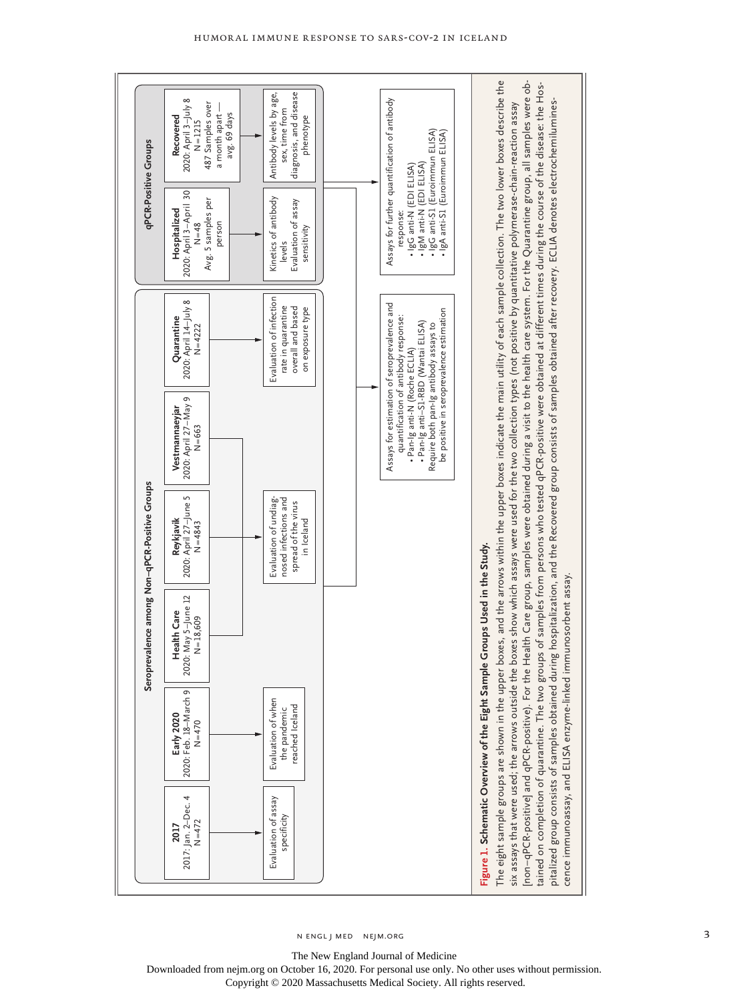

The New England Journal of Medicine

Downloaded from nejm.org on October 16, 2020. For personal use only. No other uses without permission.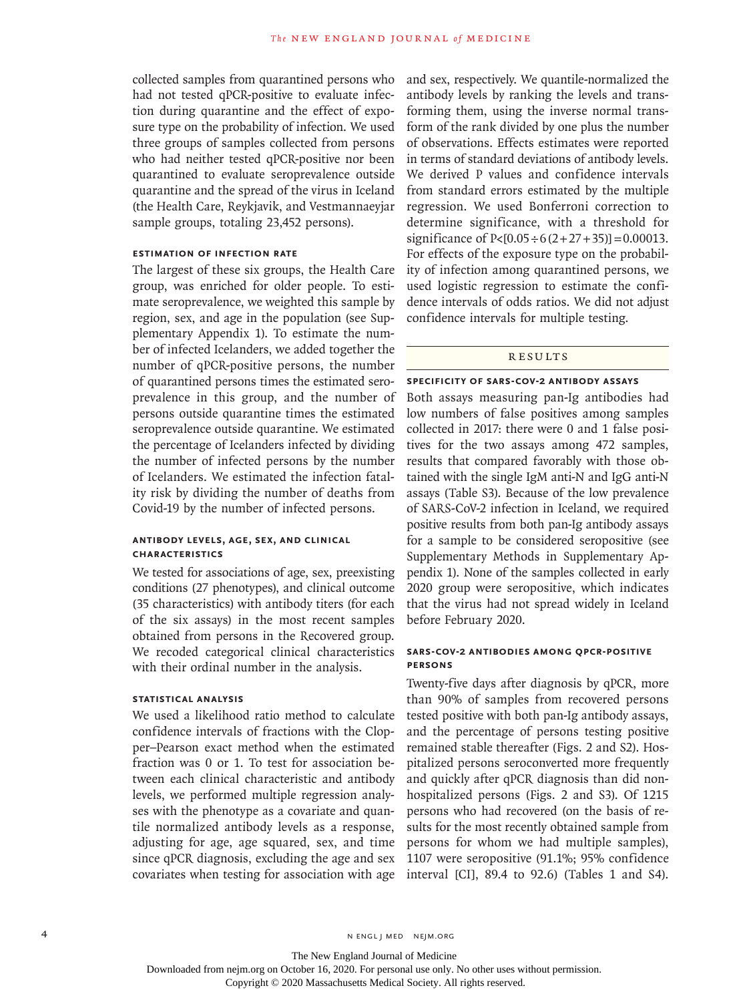collected samples from quarantined persons who had not tested qPCR-positive to evaluate infection during quarantine and the effect of exposure type on the probability of infection. We used three groups of samples collected from persons who had neither tested qPCR-positive nor been quarantined to evaluate seroprevalence outside quarantine and the spread of the virus in Iceland (the Health Care, Reykjavik, and Vestmannaeyjar sample groups, totaling 23,452 persons).

#### **Estimation of Infection Rate**

The largest of these six groups, the Health Care group, was enriched for older people. To estimate seroprevalence, we weighted this sample by region, sex, and age in the population (see Supplementary Appendix 1). To estimate the number of infected Icelanders, we added together the number of qPCR-positive persons, the number of quarantined persons times the estimated seroprevalence in this group, and the number of persons outside quarantine times the estimated seroprevalence outside quarantine. We estimated the percentage of Icelanders infected by dividing the number of infected persons by the number of Icelanders. We estimated the infection fatality risk by dividing the number of deaths from Covid-19 by the number of infected persons.

# **Antibody Levels, Age, Sex, and Clinical Characteristics**

We tested for associations of age, sex, preexisting conditions (27 phenotypes), and clinical outcome (35 characteristics) with antibody titers (for each of the six assays) in the most recent samples obtained from persons in the Recovered group. We recoded categorical clinical characteristics with their ordinal number in the analysis.

## **Statistical Analysis**

We used a likelihood ratio method to calculate confidence intervals of fractions with the Clopper–Pearson exact method when the estimated fraction was 0 or 1. To test for association between each clinical characteristic and antibody levels, we performed multiple regression analyses with the phenotype as a covariate and quantile normalized antibody levels as a response, adjusting for age, age squared, sex, and time since qPCR diagnosis, excluding the age and sex covariates when testing for association with age and sex, respectively. We quantile-normalized the antibody levels by ranking the levels and transforming them, using the inverse normal transform of the rank divided by one plus the number of observations. Effects estimates were reported in terms of standard deviations of antibody levels. We derived P values and confidence intervals from standard errors estimated by the multiple regression. We used Bonferroni correction to determine significance, with a threshold for significance of  $P < [0.05 \div 6(2 + 27 + 35)] = 0.00013$ . For effects of the exposure type on the probability of infection among quarantined persons, we used logistic regression to estimate the confidence intervals of odds ratios. We did not adjust confidence intervals for multiple testing.

# **RESULTS**

#### **Specificity of SARS-CoV-2 Antibody Assays**

Both assays measuring pan-Ig antibodies had low numbers of false positives among samples collected in 2017: there were 0 and 1 false positives for the two assays among 472 samples, results that compared favorably with those obtained with the single IgM anti-N and IgG anti-N assays (Table S3). Because of the low prevalence of SARS-CoV-2 infection in Iceland, we required positive results from both pan-Ig antibody assays for a sample to be considered seropositive (see Supplementary Methods in Supplementary Appendix 1). None of the samples collected in early 2020 group were seropositive, which indicates that the virus had not spread widely in Iceland before February 2020.

# **SARS-CoV-2 Antibodies among qPCR-Positive Persons**

Twenty-five days after diagnosis by qPCR, more than 90% of samples from recovered persons tested positive with both pan-Ig antibody assays, and the percentage of persons testing positive remained stable thereafter (Figs. 2 and S2). Hospitalized persons seroconverted more frequently and quickly after qPCR diagnosis than did nonhospitalized persons (Figs. 2 and S3). Of 1215 persons who had recovered (on the basis of results for the most recently obtained sample from persons for whom we had multiple samples), 1107 were seropositive (91.1%; 95% confidence interval [CI], 89.4 to 92.6) (Tables 1 and S4).

The New England Journal of Medicine

Downloaded from nejm.org on October 16, 2020. For personal use only. No other uses without permission.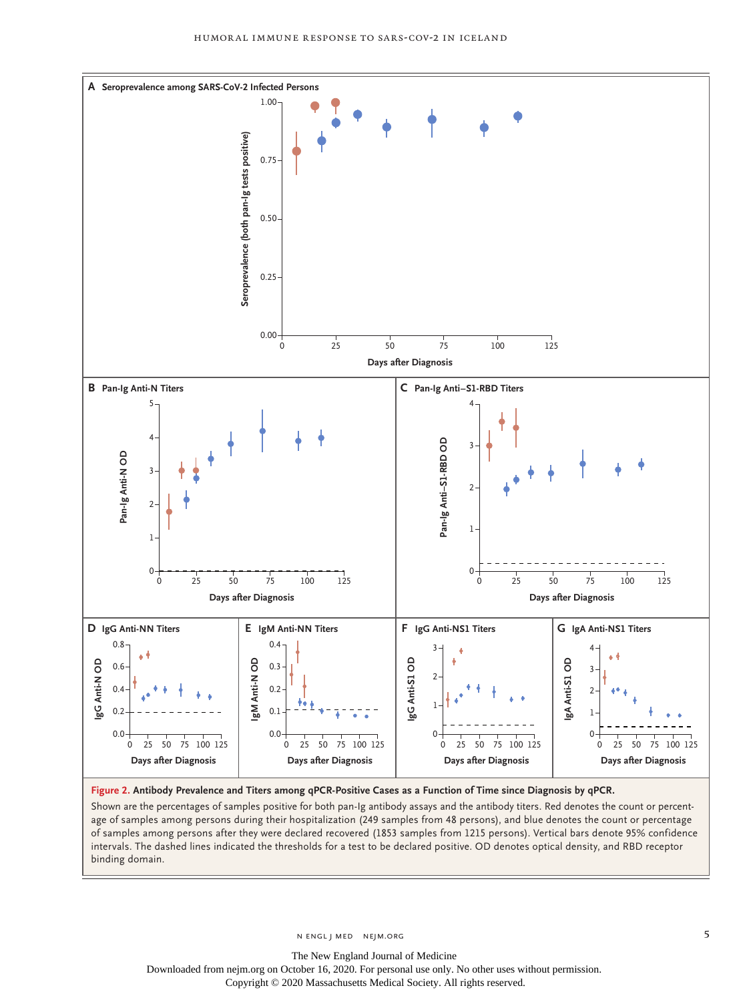

binding domain.

n engl j med nejm.org 5

The New England Journal of Medicine Downloaded from nejm.org on October 16, 2020. For personal use only. No other uses without permission.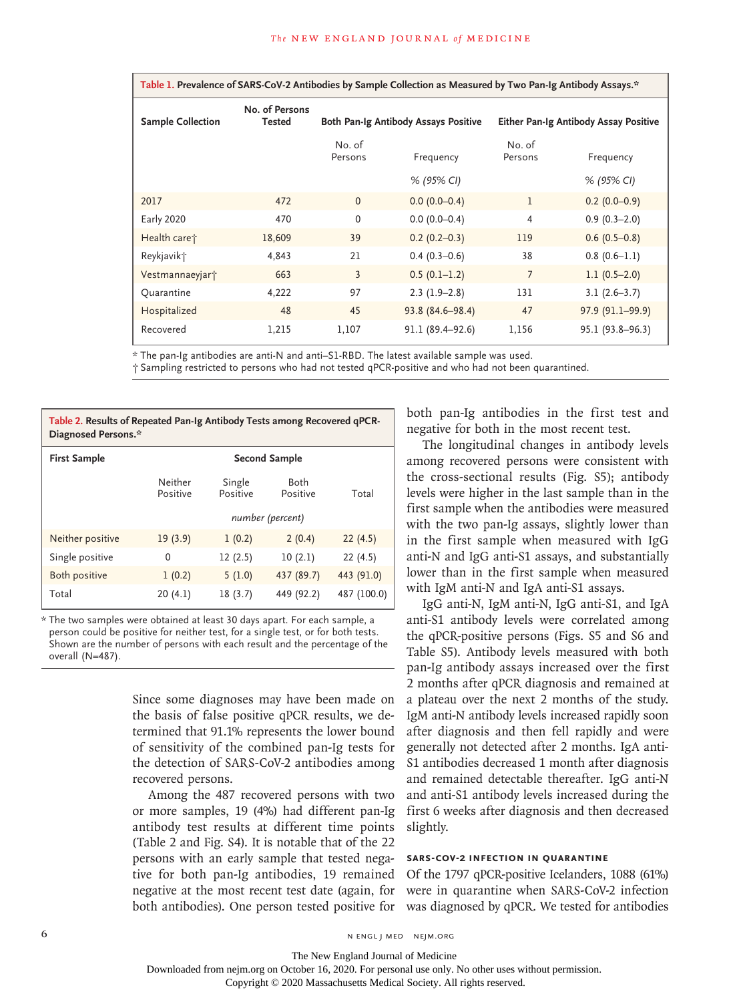|                             |                          |                   | Table 1. Prevalence of SARS-CoV-2 Antibodies by Sample Collection as Measured by Two Pan-Ig Antibody Assays.* |                   |                                       |
|-----------------------------|--------------------------|-------------------|---------------------------------------------------------------------------------------------------------------|-------------------|---------------------------------------|
| <b>Sample Collection</b>    | No. of Persons<br>Tested |                   | <b>Both Pan-Ig Antibody Assays Positive</b>                                                                   |                   | Either Pan-Ig Antibody Assay Positive |
|                             |                          | No. of<br>Persons | Frequency                                                                                                     | No. of<br>Persons | Frequency                             |
|                             |                          |                   | % (95% CI)                                                                                                    |                   | % (95% CI)                            |
| 2017                        | 472                      | $\mathbf{0}$      | $0.0(0.0-0.4)$                                                                                                | 1                 | $0.2(0.0-0.9)$                        |
| <b>Early 2020</b>           | 470                      | $\Omega$          | $0.0(0.0-0.4)$                                                                                                | 4                 | $0.9(0.3-2.0)$                        |
| Health care <sup>+</sup>    | 18,609                   | 39                | $0.2(0.2-0.3)$                                                                                                | 119               | $0.6(0.5-0.8)$                        |
| Reykjavik†                  | 4.843                    | 21                | $0.4(0.3-0.6)$                                                                                                | 38                | $0.8(0.6-1.1)$                        |
| Vestmannaeyjar <sup>+</sup> | 663                      | 3                 | $0.5(0.1-1.2)$                                                                                                | 7                 | $1.1(0.5-2.0)$                        |
| Quarantine                  | 4,222                    | 97                | $2.3(1.9-2.8)$                                                                                                | 131               | $3.1(2.6-3.7)$                        |
| Hospitalized                | 48                       | 45                | 93.8 (84.6-98.4)                                                                                              | 47                | $97.9(91.1 - 99.9)$                   |
| Recovered                   | 1,215                    | 1,107             | 91.1 (89.4-92.6)                                                                                              | 1,156             | 95.1 (93.8-96.3)                      |

\* The pan-Ig antibodies are anti-N and anti–S1-RBD. The latest available sample was used.

† Sampling restricted to persons who had not tested qPCR-positive and who had not been quarantined.

| Table 2. Results of Repeated Pan-Ig Antibody Tests among Recovered qPCR- |
|--------------------------------------------------------------------------|
| Diagnosed Persons.*                                                      |

| <b>First Sample</b> |                     |                    | <b>Second Sample</b>    |             |
|---------------------|---------------------|--------------------|-------------------------|-------------|
|                     | Neither<br>Positive | Single<br>Positive | <b>Both</b><br>Positive | Total       |
|                     |                     |                    | number (percent)        |             |
| Neither positive    | 19(3.9)             | 1(0.2)             | 2(0.4)                  | 22(4.5)     |
| Single positive     | 0                   | 12(2.5)            | 10(2.1)                 | 22(4.5)     |
| Both positive       | 1(0.2)              | 5(1.0)             | 437 (89.7)              | 443 (91.0)  |
| Total               | 20(4.1)             | 18(3.7)            | 449 (92.2)              | 487 (100.0) |

\* The two samples were obtained at least 30 days apart. For each sample, a person could be positive for neither test, for a single test, or for both tests. Shown are the number of persons with each result and the percentage of the overall (N=487).

> Since some diagnoses may have been made on the basis of false positive qPCR results, we determined that 91.1% represents the lower bound of sensitivity of the combined pan-Ig tests for the detection of SARS-CoV-2 antibodies among recovered persons.

> Among the 487 recovered persons with two or more samples, 19 (4%) had different pan-Ig antibody test results at different time points (Table 2 and Fig. S4). It is notable that of the 22 persons with an early sample that tested negative for both pan-Ig antibodies, 19 remained negative at the most recent test date (again, for both antibodies). One person tested positive for

both pan-Ig antibodies in the first test and negative for both in the most recent test.

The longitudinal changes in antibody levels among recovered persons were consistent with the cross-sectional results (Fig. S5); antibody levels were higher in the last sample than in the first sample when the antibodies were measured with the two pan-Ig assays, slightly lower than in the first sample when measured with IgG anti-N and IgG anti-S1 assays, and substantially lower than in the first sample when measured with IgM anti-N and IgA anti-S1 assays.

IgG anti-N, IgM anti-N, IgG anti-S1, and IgA anti-S1 antibody levels were correlated among the qPCR-positive persons (Figs. S5 and S6 and Table S5). Antibody levels measured with both pan-Ig antibody assays increased over the first 2 months after qPCR diagnosis and remained at a plateau over the next 2 months of the study. IgM anti-N antibody levels increased rapidly soon after diagnosis and then fell rapidly and were generally not detected after 2 months. IgA anti-S1 antibodies decreased 1 month after diagnosis and remained detectable thereafter. IgG anti-N and anti-S1 antibody levels increased during the first 6 weeks after diagnosis and then decreased slightly.

#### **SARS-CoV-2 Infection in Quarantine**

Of the 1797 qPCR-positive Icelanders, 1088 (61%) were in quarantine when SARS-CoV-2 infection was diagnosed by qPCR. We tested for antibodies

Downloaded from nejm.org on October 16, 2020. For personal use only. No other uses without permission.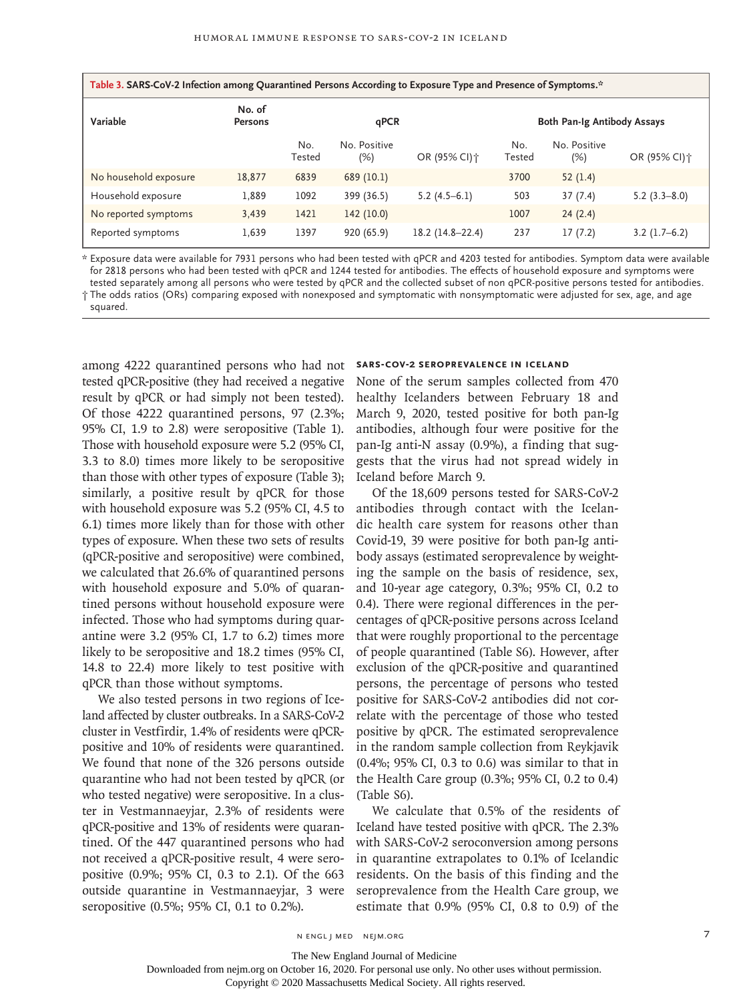| Table 3. SARS-CoV-2 Infection among Quarantined Persons According to Exposure Type and Presence of Symptoms.* |                   |               |                        |                          |               |                             |                          |
|---------------------------------------------------------------------------------------------------------------|-------------------|---------------|------------------------|--------------------------|---------------|-----------------------------|--------------------------|
| Variable                                                                                                      | No. of<br>Persons |               | qPCR                   |                          |               | Both Pan-Ig Antibody Assays |                          |
|                                                                                                               |                   | No.<br>Tested | No. Positive<br>$(\%)$ | OR (95% CI) <sup>+</sup> | No.<br>Tested | No. Positive<br>(%)         | OR (95% CI) <sup>+</sup> |
| No household exposure                                                                                         | 18,877            | 6839          | 689 (10.1)             |                          | 3700          | 52 $(1.4)$                  |                          |
| Household exposure                                                                                            | 1,889             | 1092          | 399 (36.5)             | $5.2(4.5-6.1)$           | 503           | 37(7.4)                     | $5.2(3.3-8.0)$           |
| No reported symptoms                                                                                          | 3,439             | 1421          | 142(10.0)              |                          | 1007          | 24(2.4)                     |                          |
| Reported symptoms                                                                                             | 1,639             | 1397          | 920 (65.9)             | $18.2(14.8-22.4)$        | 237           | 17(7.2)                     | $3.2(1.7-6.2)$           |

\* Exposure data were available for 7931 persons who had been tested with qPCR and 4203 tested for antibodies. Symptom data were available for 2818 persons who had been tested with qPCR and 1244 tested for antibodies. The effects of household exposure and symptoms were tested separately among all persons who were tested by qPCR and the collected subset of non qPCR-positive persons tested for antibodies. † The odds ratios (ORs) comparing exposed with nonexposed and symptomatic with nonsymptomatic were adjusted for sex, age, and age

squared.

among 4222 quarantined persons who had not tested qPCR-positive (they had received a negative result by qPCR or had simply not been tested). Of those 4222 quarantined persons, 97 (2.3%; 95% CI, 1.9 to 2.8) were seropositive (Table 1). Those with household exposure were 5.2 (95% CI, 3.3 to 8.0) times more likely to be seropositive than those with other types of exposure (Table 3); similarly, a positive result by qPCR for those with household exposure was 5.2 (95% CI, 4.5 to 6.1) times more likely than for those with other types of exposure. When these two sets of results (qPCR-positive and seropositive) were combined, we calculated that 26.6% of quarantined persons with household exposure and 5.0% of quarantined persons without household exposure were infected. Those who had symptoms during quarantine were 3.2 (95% CI, 1.7 to 6.2) times more likely to be seropositive and 18.2 times (95% CI, 14.8 to 22.4) more likely to test positive with qPCR than those without symptoms.

We also tested persons in two regions of Iceland affected by cluster outbreaks. In a SARS-CoV-2 cluster in Vestfirdir, 1.4% of residents were qPCRpositive and 10% of residents were quarantined. We found that none of the 326 persons outside quarantine who had not been tested by qPCR (or who tested negative) were seropositive. In a cluster in Vestmannaeyjar, 2.3% of residents were qPCR-positive and 13% of residents were quarantined. Of the 447 quarantined persons who had not received a qPCR-positive result, 4 were seropositive (0.9%; 95% CI, 0.3 to 2.1). Of the 663 outside quarantine in Vestmannaeyjar, 3 were seropositive (0.5%; 95% CI, 0.1 to 0.2%).

#### **SARS-CoV-2 Seroprevalence in Iceland**

None of the serum samples collected from 470 healthy Icelanders between February 18 and March 9, 2020, tested positive for both pan-Ig antibodies, although four were positive for the pan-Ig anti-N assay (0.9%), a finding that suggests that the virus had not spread widely in Iceland before March 9.

Of the 18,609 persons tested for SARS-CoV-2 antibodies through contact with the Icelandic health care system for reasons other than Covid-19, 39 were positive for both pan-Ig antibody assays (estimated seroprevalence by weighting the sample on the basis of residence, sex, and 10-year age category, 0.3%; 95% CI, 0.2 to 0.4). There were regional differences in the percentages of qPCR-positive persons across Iceland that were roughly proportional to the percentage of people quarantined (Table S6). However, after exclusion of the qPCR-positive and quarantined persons, the percentage of persons who tested positive for SARS-CoV-2 antibodies did not correlate with the percentage of those who tested positive by qPCR. The estimated seroprevalence in the random sample collection from Reykjavik (0.4%; 95% CI, 0.3 to 0.6) was similar to that in the Health Care group (0.3%; 95% CI, 0.2 to 0.4) (Table S6).

We calculate that 0.5% of the residents of Iceland have tested positive with qPCR. The 2.3% with SARS-CoV-2 seroconversion among persons in quarantine extrapolates to 0.1% of Icelandic residents. On the basis of this finding and the seroprevalence from the Health Care group, we estimate that 0.9% (95% CI, 0.8 to 0.9) of the

The New England Journal of Medicine

Downloaded from nejm.org on October 16, 2020. For personal use only. No other uses without permission.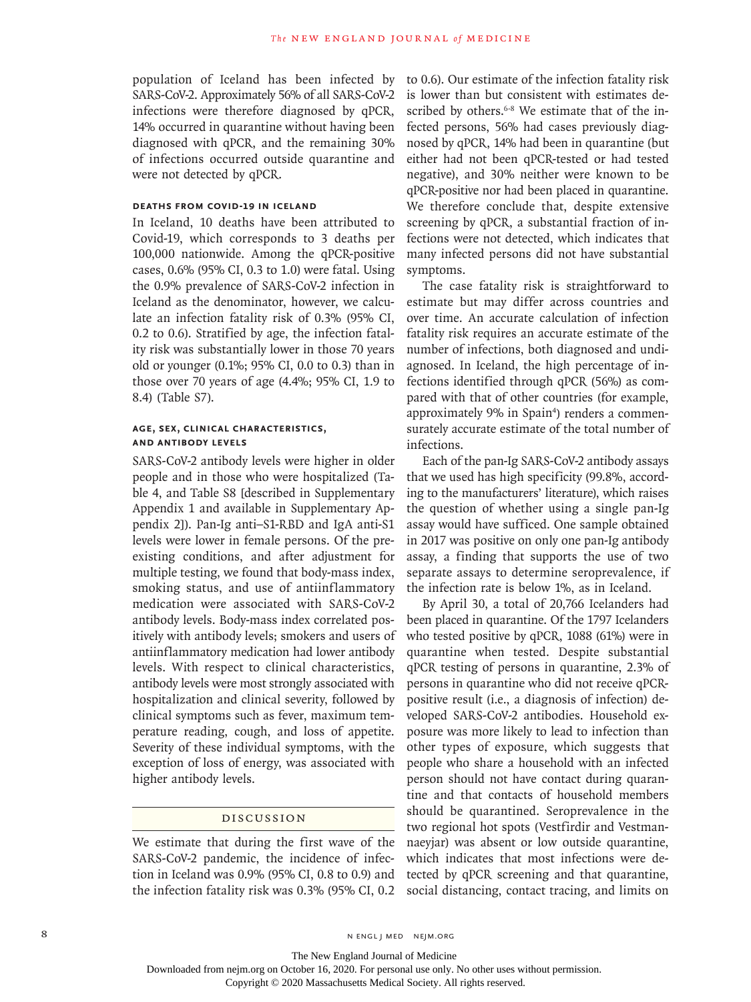population of Iceland has been infected by SARS-CoV-2. Approximately 56% of all SARS-CoV-2 infections were therefore diagnosed by qPCR, 14% occurred in quarantine without having been diagnosed with qPCR, and the remaining 30% of infections occurred outside quarantine and were not detected by qPCR.

# **Deaths from Covid-19 in Iceland**

In Iceland, 10 deaths have been attributed to Covid-19, which corresponds to 3 deaths per 100,000 nationwide. Among the qPCR-positive cases, 0.6% (95% CI, 0.3 to 1.0) were fatal. Using the 0.9% prevalence of SARS-CoV-2 infection in Iceland as the denominator, however, we calculate an infection fatality risk of 0.3% (95% CI, 0.2 to 0.6). Stratified by age, the infection fatality risk was substantially lower in those 70 years old or younger (0.1%; 95% CI, 0.0 to 0.3) than in those over 70 years of age (4.4%; 95% CI, 1.9 to 8.4) (Table S7).

# **Age, Sex, Clinical Characteristics, and Antibody Levels**

SARS-CoV-2 antibody levels were higher in older people and in those who were hospitalized (Table 4, and Table S8 [described in Supplementary Appendix 1 and available in Supplementary Appendix 2]). Pan-Ig anti–S1-RBD and IgA anti-S1 levels were lower in female persons. Of the preexisting conditions, and after adjustment for multiple testing, we found that body-mass index, smoking status, and use of antiinflammatory medication were associated with SARS-CoV-2 antibody levels. Body-mass index correlated positively with antibody levels; smokers and users of antiinflammatory medication had lower antibody levels. With respect to clinical characteristics, antibody levels were most strongly associated with hospitalization and clinical severity, followed by clinical symptoms such as fever, maximum temperature reading, cough, and loss of appetite. Severity of these individual symptoms, with the exception of loss of energy, was associated with higher antibody levels.

# Discussion

We estimate that during the first wave of the SARS-CoV-2 pandemic, the incidence of infection in Iceland was 0.9% (95% CI, 0.8 to 0.9) and the infection fatality risk was 0.3% (95% CI, 0.2 to 0.6). Our estimate of the infection fatality risk is lower than but consistent with estimates described by others.<sup>6-8</sup> We estimate that of the infected persons, 56% had cases previously diagnosed by qPCR, 14% had been in quarantine (but either had not been qPCR-tested or had tested negative), and 30% neither were known to be qPCR-positive nor had been placed in quarantine. We therefore conclude that, despite extensive screening by qPCR, a substantial fraction of infections were not detected, which indicates that many infected persons did not have substantial symptoms.

The case fatality risk is straightforward to estimate but may differ across countries and over time. An accurate calculation of infection fatality risk requires an accurate estimate of the number of infections, both diagnosed and undiagnosed. In Iceland, the high percentage of infections identified through qPCR (56%) as compared with that of other countries (for example, approximately 9% in Spain<sup>4</sup>) renders a commensurately accurate estimate of the total number of infections.

Each of the pan-Ig SARS-CoV-2 antibody assays that we used has high specificity (99.8%, according to the manufacturers' literature), which raises the question of whether using a single pan-Ig assay would have sufficed. One sample obtained in 2017 was positive on only one pan-Ig antibody assay, a finding that supports the use of two separate assays to determine seroprevalence, if the infection rate is below 1%, as in Iceland.

By April 30, a total of 20,766 Icelanders had been placed in quarantine. Of the 1797 Icelanders who tested positive by qPCR, 1088 (61%) were in quarantine when tested. Despite substantial qPCR testing of persons in quarantine, 2.3% of persons in quarantine who did not receive qPCRpositive result (i.e., a diagnosis of infection) developed SARS-CoV-2 antibodies. Household exposure was more likely to lead to infection than other types of exposure, which suggests that people who share a household with an infected person should not have contact during quarantine and that contacts of household members should be quarantined. Seroprevalence in the two regional hot spots (Vestfirdir and Vestmannaeyjar) was absent or low outside quarantine, which indicates that most infections were detected by qPCR screening and that quarantine, social distancing, contact tracing, and limits on

8 N ENGL J MED NEJM.ORG

The New England Journal of Medicine

Downloaded from nejm.org on October 16, 2020. For personal use only. No other uses without permission.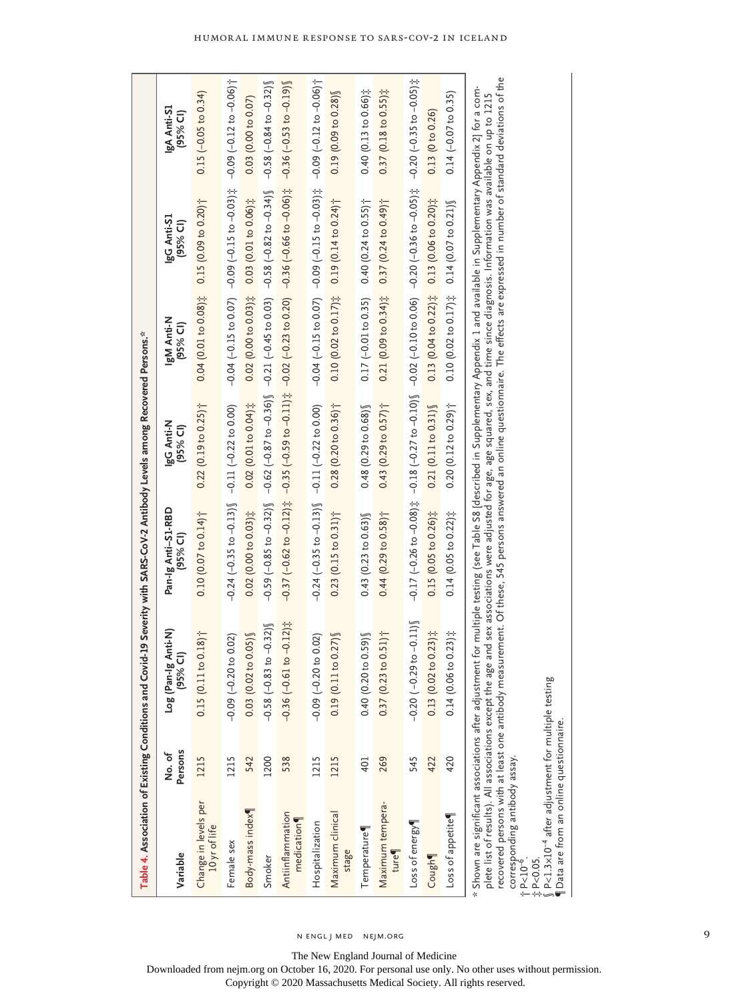|                                       |                   | Table 4. Association of Existing Conditions and Covid-19 Severity with SARS-CoV-2 Antibody Levels among Recovered Persons.*                                                                                                                                                                                                                                                                                                                                                                                                                                           |                                                          |                                                                                                                                                                                                                                    |                                                                |                                                                   |                                            |
|---------------------------------------|-------------------|-----------------------------------------------------------------------------------------------------------------------------------------------------------------------------------------------------------------------------------------------------------------------------------------------------------------------------------------------------------------------------------------------------------------------------------------------------------------------------------------------------------------------------------------------------------------------|----------------------------------------------------------|------------------------------------------------------------------------------------------------------------------------------------------------------------------------------------------------------------------------------------|----------------------------------------------------------------|-------------------------------------------------------------------|--------------------------------------------|
| Variable                              | Persons<br>No. of | Log (Pan-Ig Anti-N)<br>(95% CI)                                                                                                                                                                                                                                                                                                                                                                                                                                                                                                                                       | Pan-Ig Anti-S1-RBD<br>(95% CI)                           | gG Anti-N<br>$(95%$ CI)                                                                                                                                                                                                            | IgM Anti-N<br>$(95%$ CI)                                       | IgG Anti-S1<br>(95% Cl)                                           | IgA Anti-S1<br>(95% C1)                    |
| Change in levels per<br>10 yr of life | 1215              | $0.15$ (0.11 to $0.18$ ) <sup>+</sup>                                                                                                                                                                                                                                                                                                                                                                                                                                                                                                                                 | 0.10(0.07 to 0.14)                                       | $0.22$ (0.19 to $0.25$ ) <sup>+</sup>                                                                                                                                                                                              | $0.04(0.01 to 0.08)$ #                                         | 0.15(0.09 to 0.20)                                                | $0.15 (-0.05 to 0.34)$                     |
| Female sex                            | 1215              | $-0.09$ $(-0.20$ to $0.02)$                                                                                                                                                                                                                                                                                                                                                                                                                                                                                                                                           | $-0.24$ $(-0.35$ to $-0.13)$ $\left[\frac{13}{2}\right]$ | $-0.11$ $(-0.22$ to 0.00)                                                                                                                                                                                                          |                                                                | $-0.04 (-0.15 to 0.07) -0.09 (-0.15 to -0.03)$ #                  | $-0.09$ $(-0.12$ to $-0.06$ ] <sup>+</sup> |
| Body-mass index                       | 542               | $0.03$ (0.02 to 0.05)                                                                                                                                                                                                                                                                                                                                                                                                                                                                                                                                                 | $0.02(0.00 to 0.03)$ #                                   | $0.02$ (0.01 to 0.04) $\ddot{x}$                                                                                                                                                                                                   |                                                                | $0.02(0.00 to 0.03)$ $\ddagger$ 0.03 (0.01 to 0.06) $\ddagger$    | $0.03$ $(0.00 \text{ to } 0.07)$           |
| Smoker                                | 1200              | $-0.58 (-0.83 to -0.32)$                                                                                                                                                                                                                                                                                                                                                                                                                                                                                                                                              |                                                          | $-0.59(-0.85 \text{ to } -0.32)$ $-0.62(-0.87 \text{ to } -0.36)$ $-0.45 \text{ to } 0.03$ ) $-0.58(-0.82 \text{ to } -0.34)$                                                                                                      |                                                                |                                                                   | $-0.58 (-0.84 to -0.32)$                   |
| Antiinflammation<br>medication        | 538               | $-0.36$ $(-0.61$ to $-0.12)$ $\ddagger$                                                                                                                                                                                                                                                                                                                                                                                                                                                                                                                               |                                                          | $-0.37$ $(-0.62$ to $-0.12)$ $\ddagger$ $-0.35$ $(-0.59$ to $-0.11)$ $\ddagger$ $-0.02$ $(-0.23$ to $0.20)$ $-0.36$ $(-0.66$ to $-0.06)$ $\ddagger$ $-0.36$ $(-0.53$ to $-0.19)$ $\S$                                              |                                                                |                                                                   |                                            |
| Hospitalization                       | 1215              | $-0.09$ $(-0.20$ to $0.02)$                                                                                                                                                                                                                                                                                                                                                                                                                                                                                                                                           | $-0.24$ $(-0.35$ to $-0.13)$ $-0.11$ $(-0.22$ to 0.00)   |                                                                                                                                                                                                                                    |                                                                | $-0.04$ $(-0.15$ to 0.07) $-0.09$ $(-0.15$ to $-0.03)$ $\ddagger$ | $-0.09$ $(-0.12$ to $-0.06)$ $\uparrow$    |
| Maximum clinical<br>stage             | 1215              | 0.19(0.11 to 0.27)                                                                                                                                                                                                                                                                                                                                                                                                                                                                                                                                                    | $0.23$ (0.15 to 0.31) <sup>+</sup>                       | $0.28$ (0.20 to 0.36) $\dagger$                                                                                                                                                                                                    |                                                                | $0.10$ (0.02 to $0.17$ ); 0.19 (0.14 to 0.24);                    | 0.19(0.09 to 0.28)                         |
| Temperature                           | 401               | 0.40(0.20 to 0.59)                                                                                                                                                                                                                                                                                                                                                                                                                                                                                                                                                    | $0.43$ (0.23 to 0.63) §                                  | $0.48$ (0.29 to 0.68) §                                                                                                                                                                                                            | $0.17 (-0.01 to 0.35)$                                         | 0.40(0.24 to 0.55)                                                | $0.40$ (0.13 to 0.66) $\ddagger$           |
| Maximum tempera-<br>ture              | 269               | 0.37(0.23 to 0.51)                                                                                                                                                                                                                                                                                                                                                                                                                                                                                                                                                    | $0.44$ (0.29 to 0.58) $\uparrow$                         | $0.43$ (0.29 to 0.57) $\uparrow$                                                                                                                                                                                                   | $0.21(0.09 to 0.34)$ $\ddagger$ 0.37 (0.24 to 0.49) $\ddagger$ |                                                                   | $0.37(0.18 to 0.55)$ #                     |
| Loss of energy                        | 545               | $-0.20(-0.29$ to $-0.11$ )                                                                                                                                                                                                                                                                                                                                                                                                                                                                                                                                            |                                                          | $-0.17$ $(-0.26$ to $-0.08)$ ; $-0.27$ to $-0.20$ $(-0.20$ to $0.06)$ $-0.20$ $(-0.36$ to $-0.36$ to $-0.36$ to $-0.36$ to $-0.36$ to $-0.36$ to $-0.36$ to $-0.36$ to $-0.36$ to $-0.36$ to $-0.36$ to $-0.36$ to $-0.36$ to $-0$ |                                                                |                                                                   | $-0.20$ $(-0.35$ to $-0.05)$ #             |
| Cough                                 | 422               | $0.13(0.02 to 0.23)$ #                                                                                                                                                                                                                                                                                                                                                                                                                                                                                                                                                | 0.15(0.05 to 0.26)                                       | 0.21(0.11 to 0.31)                                                                                                                                                                                                                 |                                                                | 0.13 (0.04 to 0.22) $\ddagger$ 0.13 (0.06 to 0.20) $\ddagger$     | $0.13$ (0 to 0.26)                         |
| Loss of appetite                      | 420               | $0.14(0.06 to 0.23)$ #                                                                                                                                                                                                                                                                                                                                                                                                                                                                                                                                                | $0.14$ (0.05 to 0.22) $\ddot{x}$                         | $0.20$ (0.12 to $0.29$ ) $\dagger$                                                                                                                                                                                                 | $0.10$ (0.02 to $0.17$ ) $\ddagger$ 0.14 (0.07 to 0.21) $\S$   |                                                                   | $0.14 (-0.07 to 0.35)$                     |
|                                       |                   | recovered persons with at least one antibody measurement. Of these, 545 persons answered an online questionnaire. The effects are expressed in number of standard deviations of the<br>Shown are significant associations after adjustment for multiple testing (see Table S8 [described in Supplementary Appendix 1 and available in Supplementary Appendix 2] for a com-<br>plete list of results). All associations except the age and sex associations were adjusted for age, age squared, sex, and time since diagnosis. Information was available on up to 1215 |                                                          |                                                                                                                                                                                                                                    |                                                                |                                                                   |                                            |

recovered persons with at least one antibody measurement. Of these, 545 persons answered an online questionnaire. The effects are expressed in number of standard deviations of the corresponding antibody assay.

† P<10<sup>−6</sup>.<br>‡P<0.05.<br>∮ P<1.3×  $t$  P<0.05.

 P<1.3×10−4 after adjustment for multiple testing ¶Data are from an online questionnaire.

9

The New England Journal of Medicine

n engl j med nejm.org

Downloaded from nejm.org on October 16, 2020. For personal use only. No other uses without permission.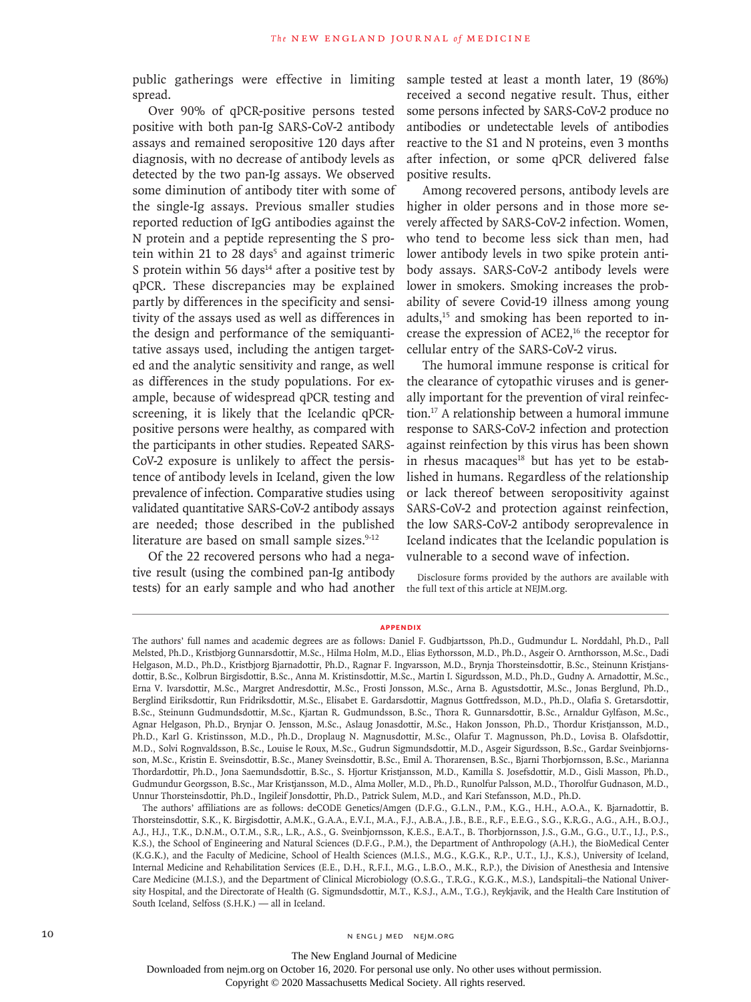public gatherings were effective in limiting spread.

Over 90% of qPCR-positive persons tested positive with both pan-Ig SARS-CoV-2 antibody assays and remained seropositive 120 days after diagnosis, with no decrease of antibody levels as detected by the two pan-Ig assays. We observed some diminution of antibody titer with some of the single-Ig assays. Previous smaller studies reported reduction of IgG antibodies against the N protein and a peptide representing the S protein within 21 to 28 days<sup>5</sup> and against trimeric S protein within 56 days<sup>14</sup> after a positive test by qPCR. These discrepancies may be explained partly by differences in the specificity and sensitivity of the assays used as well as differences in the design and performance of the semiquantitative assays used, including the antigen targeted and the analytic sensitivity and range, as well as differences in the study populations. For example, because of widespread qPCR testing and screening, it is likely that the Icelandic qPCRpositive persons were healthy, as compared with the participants in other studies. Repeated SARS-CoV-2 exposure is unlikely to affect the persistence of antibody levels in Iceland, given the low prevalence of infection. Comparative studies using validated quantitative SARS-CoV-2 antibody assays are needed; those described in the published literature are based on small sample sizes.<sup>9-12</sup>

Of the 22 recovered persons who had a negative result (using the combined pan-Ig antibody tests) for an early sample and who had another sample tested at least a month later, 19 (86%) received a second negative result. Thus, either some persons infected by SARS-CoV-2 produce no antibodies or undetectable levels of antibodies reactive to the S1 and N proteins, even 3 months after infection, or some qPCR delivered false positive results.

Among recovered persons, antibody levels are higher in older persons and in those more severely affected by SARS-CoV-2 infection. Women, who tend to become less sick than men, had lower antibody levels in two spike protein antibody assays. SARS-CoV-2 antibody levels were lower in smokers. Smoking increases the probability of severe Covid-19 illness among young adults,15 and smoking has been reported to increase the expression of ACE2,16 the receptor for cellular entry of the SARS-CoV-2 virus.

The humoral immune response is critical for the clearance of cytopathic viruses and is generally important for the prevention of viral reinfection.17 A relationship between a humoral immune response to SARS-CoV-2 infection and protection against reinfection by this virus has been shown in rhesus macaques $18$  but has yet to be established in humans. Regardless of the relationship or lack thereof between seropositivity against SARS-CoV-2 and protection against reinfection, the low SARS-CoV-2 antibody seroprevalence in Iceland indicates that the Icelandic population is vulnerable to a second wave of infection.

Disclosure forms provided by the authors are available with the full text of this article at NEJM.org.

#### **Appendix**

The New England Journal of Medicine

The authors' full names and academic degrees are as follows: Daniel F. Gudbjartsson, Ph.D., Gudmundur L. Norddahl, Ph.D., Pall Melsted, Ph.D., Kristbjorg Gunnarsdottir, M.Sc., Hilma Holm, M.D., Elias Eythorsson, M.D., Ph.D., Asgeir O. Arnthorsson, M.Sc., Dadi Helgason, M.D., Ph.D., Kristbjorg Bjarnadottir, Ph.D., Ragnar F. Ingvarsson, M.D., Brynja Thorsteinsdottir, B.Sc., Steinunn Kristjansdottir, B.Sc., Kolbrun Birgisdottir, B.Sc., Anna M. Kristinsdottir, M.Sc., Martin I. Sigurdsson, M.D., Ph.D., Gudny A. Arnadottir, M.Sc., Erna V. Ivarsdottir, M.Sc., Margret Andresdottir, M.Sc., Frosti Jonsson, M.Sc., Arna B. Agustsdottir, M.Sc., Jonas Berglund, Ph.D., Berglind Eiriksdottir, Run Fridriksdottir, M.Sc., Elisabet E. Gardarsdottir, Magnus Gottfredsson, M.D., Ph.D., Olafia S. Gretarsdottir, B.Sc., Steinunn Gudmundsdottir, M.Sc., Kjartan R. Gudmundsson, B.Sc., Thora R. Gunnarsdottir, B.Sc., Arnaldur Gylfason, M.Sc., Agnar Helgason, Ph.D., Brynjar O. Jensson, M.Sc., Aslaug Jonasdottir, M.Sc., Hakon Jonsson, Ph.D., Thordur Kristjansson, M.D., Ph.D., Karl G. Kristinsson, M.D., Ph.D., Droplaug N. Magnusdottir, M.Sc., Olafur T. Magnusson, Ph.D., Lovisa B. Olafsdottir, M.D., Solvi Rognvaldsson, B.Sc., Louise le Roux, M.Sc., Gudrun Sigmundsdottir, M.D., Asgeir Sigurdsson, B.Sc., Gardar Sveinbjornsson, M.Sc., Kristin E. Sveinsdottir, B.Sc., Maney Sveinsdottir, B.Sc., Emil A. Thorarensen, B.Sc., Bjarni Thorbjornsson, B.Sc., Marianna Thordardottir, Ph.D., Jona Saemundsdottir, B.Sc., S. Hjortur Kristjansson, M.D., Kamilla S. Josefsdottir, M.D., Gisli Masson, Ph.D., Gudmundur Georgsson, B.Sc., Mar Kristjansson, M.D., Alma Moller, M.D., Ph.D., Runolfur Palsson, M.D., Thorolfur Gudnason, M.D., Unnur Thorsteinsdottir, Ph.D., Ingileif Jonsdottir, Ph.D., Patrick Sulem, M.D., and Kari Stefansson, M.D., Ph.D.

The authors' affiliations are as follows: deCODE Genetics/Amgen (D.F.G., G.L.N., P.M., K.G., H.H., A.O.A., K. Bjarnadottir, B. Thorsteinsdottir, S.K., K. Birgisdottir, A.M.K., G.A.A., E.V.I., M.A., F.J., A.B.A., J.B., B.E., R.F., E.E.G., S.G., K.R.G., A.G., A.H., B.O.J., A.J., H.J., T.K., D.N.M., O.T.M., S.R., L.R., A.S., G. Sveinbjornsson, K.E.S., E.A.T., B. Thorbjornsson, J.S., G.M., G.G., U.T., I.J., P.S., K.S.), the School of Engineering and Natural Sciences (D.F.G., P.M.), the Department of Anthropology (A.H.), the BioMedical Center (K.G.K.), and the Faculty of Medicine, School of Health Sciences (M.I.S., M.G., K.G.K., R.P., U.T., I.J., K.S.), University of Iceland, Internal Medicine and Rehabilitation Services (E.E., D.H., R.F.I., M.G., L.B.O., M.K., R.P.), the Division of Anesthesia and Intensive Care Medicine (M.I.S.), and the Department of Clinical Microbiology (O.S.G., T.R.G., K.G.K., M.S.), Landspitali–the National University Hospital, and the Directorate of Health (G. Sigmundsdottir, M.T., K.S.J., A.M., T.G.), Reykjavik, and the Health Care Institution of South Iceland, Selfoss (S.H.K.) — all in Iceland.